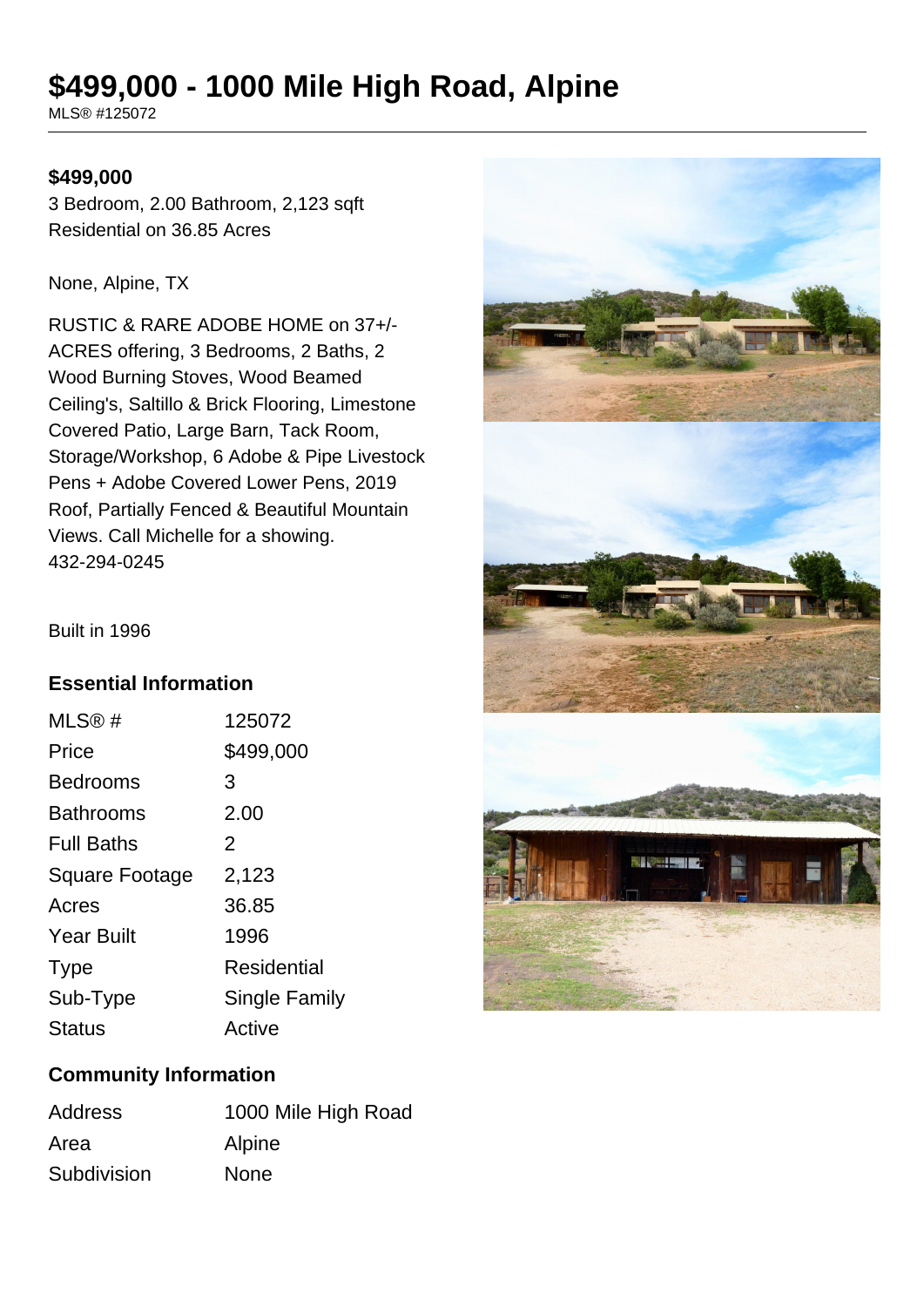# **\$499,000 - 1000 Mile High Road, Alpine**

MLS® #125072

#### **\$499,000**

3 Bedroom, 2.00 Bathroom, 2,123 sqft Residential on 36.85 Acres

None, Alpine, TX

RUSTIC & RARE ADOBE HOME on 37+/- ACRES offering, 3 Bedrooms, 2 Baths, 2 Wood Burning Stoves, Wood Beamed Ceiling's, Saltillo & Brick Flooring, Limestone Covered Patio, Large Barn, Tack Room, Storage/Workshop, 6 Adobe & Pipe Livestock Pens + Adobe Covered Lower Pens, 2019 Roof, Partially Fenced & Beautiful Mountain Views. Call Michelle for a showing. 432-294-0245



Built in 1996

### **Essential Information**

| MLS@#                 | 125072               |
|-----------------------|----------------------|
| Price                 | \$499,000            |
| <b>Bedrooms</b>       | 3                    |
| <b>Bathrooms</b>      | 2.00                 |
| <b>Full Baths</b>     | 2                    |
| <b>Square Footage</b> | 2,123                |
| Acres                 | 36.85                |
| <b>Year Built</b>     | 1996                 |
| <b>Type</b>           | Residential          |
| Sub-Type              | <b>Single Family</b> |
| <b>Status</b>         | Active               |
|                       |                      |

### **Community Information**

| <b>Address</b> | 1000 Mile High Road |
|----------------|---------------------|
| Area           | Alpine              |
| Subdivision    | <b>None</b>         |